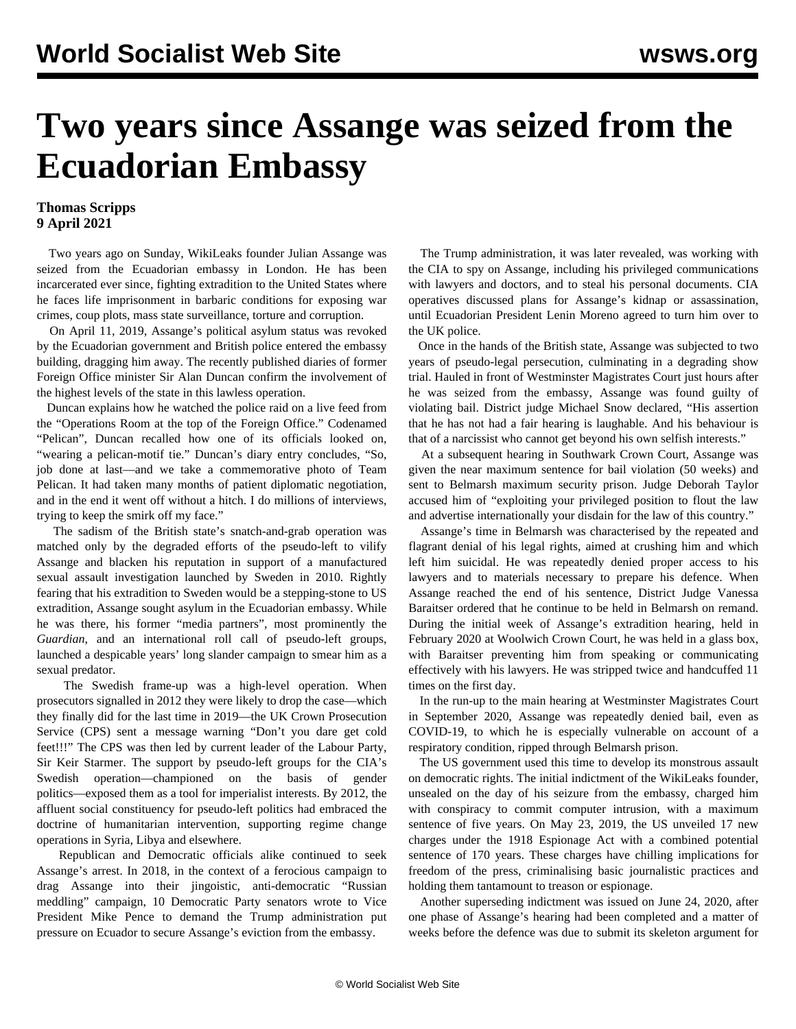## **Two years since Assange was seized from the Ecuadorian Embassy**

## **Thomas Scripps 9 April 2021**

 Two years ago on Sunday, WikiLeaks founder Julian Assange was seized from the Ecuadorian embassy in London. He has been incarcerated ever since, fighting extradition to the United States where he faces life imprisonment in barbaric conditions for exposing war crimes, coup plots, mass state surveillance, torture and corruption.

 On April 11, 2019, Assange's political asylum status was revoked by the Ecuadorian government and British police entered the embassy building, dragging him away. The recently published diaries of former Foreign Office minister Sir Alan Duncan confirm the involvement of the highest levels of the state in this lawless operation.

 Duncan explains how he watched the police raid on a live feed from the "Operations Room at the top of the Foreign Office." Codenamed "Pelican", Duncan recalled how one of its officials looked on, "wearing a pelican-motif tie." Duncan's diary entry concludes, "So, job done at last—and we take a commemorative photo of Team Pelican. It had taken many months of patient diplomatic negotiation, and in the end it went off without a hitch. I do millions of interviews, trying to keep the smirk off my face."

 The sadism of the British state's snatch-and-grab operation was matched only by the degraded efforts of the pseudo-left to vilify Assange and blacken his reputation in support of a manufactured sexual assault investigation launched by Sweden in 2010. Rightly fearing that his extradition to Sweden would be a stepping-stone to US extradition, Assange sought asylum in the Ecuadorian embassy. While he was there, his former "media partners", most prominently the *Guardian*, and an international roll call of pseudo-left groups, launched a despicable years' long slander campaign to smear him as a sexual predator.

 The Swedish frame-up was a high-level operation. When prosecutors signalled in 2012 they were likely to drop the case—which they finally did for the last time in 2019—the UK Crown Prosecution Service (CPS) sent a message warning "Don't you dare get cold feet!!!" The CPS was then led by current leader of the Labour Party, Sir Keir Starmer. The support by pseudo-left groups for the CIA's Swedish operation—championed on the basis of gender politics—exposed them as a tool for imperialist interests. By 2012, the affluent social constituency for pseudo-left politics had embraced the doctrine of humanitarian intervention, supporting regime change operations in Syria, Libya and elsewhere.

 Republican and Democratic officials alike continued to seek Assange's arrest. In 2018, in the context of a ferocious campaign to drag Assange into their jingoistic, anti-democratic "Russian meddling" campaign, 10 Democratic Party senators wrote to Vice President Mike Pence to demand the Trump administration put pressure on Ecuador to secure Assange's eviction from the embassy.

 The Trump administration, it was later revealed, was working with the CIA to spy on Assange, including his privileged communications with lawyers and doctors, and to steal his personal documents. CIA operatives discussed plans for Assange's kidnap or assassination, until Ecuadorian President Lenin Moreno agreed to turn him over to the UK police.

 Once in the hands of the British state, Assange was subjected to two years of pseudo-legal persecution, culminating in a degrading show trial. Hauled in front of Westminster Magistrates Court just hours after he was seized from the embassy, Assange was found guilty of violating bail. District judge Michael Snow declared, "His assertion that he has not had a fair hearing is laughable. And his behaviour is that of a narcissist who cannot get beyond his own selfish interests."

 At a subsequent hearing in Southwark Crown Court, Assange was given the near maximum sentence for bail violation (50 weeks) and sent to Belmarsh maximum security prison. Judge Deborah Taylor accused him of "exploiting your privileged position to flout the law and advertise internationally your disdain for the law of this country."

 Assange's time in Belmarsh was characterised by the repeated and flagrant denial of his legal rights, aimed at crushing him and which left him suicidal. He was repeatedly denied proper access to his lawyers and to materials necessary to prepare his defence. When Assange reached the end of his sentence, District Judge Vanessa Baraitser ordered that he continue to be held in Belmarsh on remand. During the initial week of Assange's extradition hearing, held in February 2020 at Woolwich Crown Court, he was held in a glass box, with Baraitser preventing him from speaking or communicating effectively with his lawyers. He was stripped twice and handcuffed 11 times on the first day.

 In the run-up to the main hearing at Westminster Magistrates Court in September 2020, Assange was repeatedly denied bail, even as COVID-19, to which he is especially vulnerable on account of a respiratory condition, ripped through Belmarsh prison.

 The US government used this time to develop its monstrous assault on democratic rights. The initial indictment of the WikiLeaks founder, unsealed on the day of his seizure from the embassy, charged him with conspiracy to commit computer intrusion, with a maximum sentence of five years. On May 23, 2019, the US unveiled 17 new charges under the 1918 Espionage Act with a combined potential sentence of 170 years. These charges have chilling implications for freedom of the press, criminalising basic journalistic practices and holding them tantamount to treason or espionage.

 Another superseding indictment was issued on June 24, 2020, after one phase of Assange's hearing had been completed and a matter of weeks before the defence was due to submit its skeleton argument for